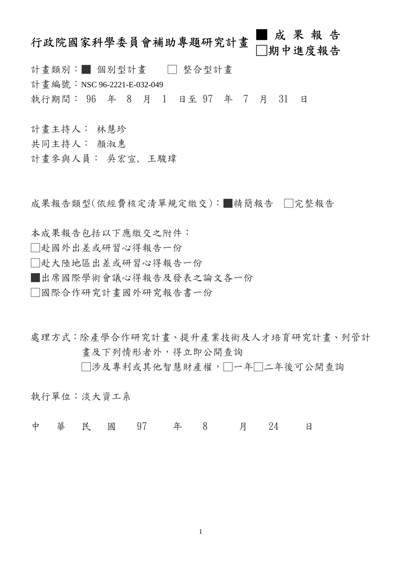# 行政院國家科學委員會補助專題研究計畫 ■成果報告 □期中進度報告

計畫類別:■ 個別型計畫 □ 整合型計畫 計書編號: NSC 96-2221-E-032-049 執行期間: 96 年 8 月 1 日至 97 年 7 月 31 日

計畫主持人: 林慧珍

共同主持人: 顏淑惠

計畫參與人員: 吳宏宣, 王駿瑋

成果報告類型(依經費核定清單規定繳交):■精簡報告 □完整報告

本成果報告包括以下應繳交之附件:

□赴國外出差或研習心得報告一份

□赴大陸地區出差或研習心得報告一份

■出席國際學術會議心得報告及發表之論文各一份

□國際合作研究計畫國外研究報告書一份

處理方式:除產學合作研究計畫、提升產業技術及人才培育研究計畫、列管計 畫及下列情形者外,得立即公開查詢

□涉及專利或其他智慧財產權,□一年□二年後可公開查詢

執行單位:淡大資工系

中 華 民 國 97 年 8 月 24 日

1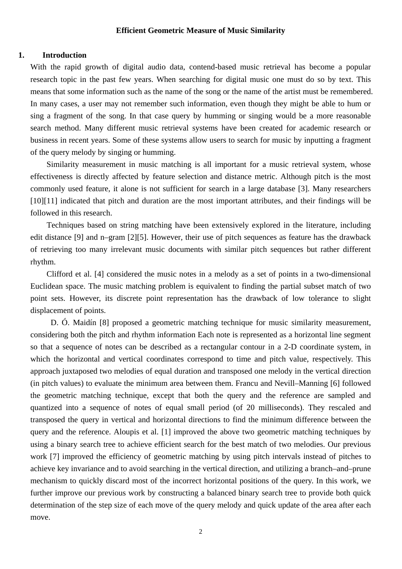## **Efficient Geometric Measure of Music Similarity**

### **1. Introduction**

With the rapid growth of digital audio data, contend-based music retrieval has become a popular research topic in the past few years. When searching for digital music one must do so by text. This means that some information such as the name of the song or the name of the artist must be remembered. In many cases, a user may not remember such information, even though they might be able to hum or sing a fragment of the song. In that case query by humming or singing would be a more reasonable search method. Many different music retrieval systems have been created for academic research or business in recent years. Some of these systems allow users to search for music by inputting a fragment of the query melody by singing or humming.

Similarity measurement in music matching is all important for a music retrieval system, whose effectiveness is directly affected by feature selection and distance metric. Although pitch is the most commonly used feature, it alone is not sufficient for search in a large database [3]. Many researchers [10][11] indicated that pitch and duration are the most important attributes, and their findings will be followed in this research.

Techniques based on string matching have been extensively explored in the literature, including edit distance [9] and n–gram [2][5]. However, their use of pitch sequences as feature has the drawback of retrieving too many irrelevant music documents with similar pitch sequences but rather different rhythm.

Clifford et al. [4] considered the music notes in a melody as a set of points in a two-dimensional Euclidean space. The music matching problem is equivalent to finding the partial subset match of two point sets. However, its discrete point representation has the drawback of low tolerance to slight displacement of points.

D. Ó. Maidín [8] proposed a geometric matching technique for music similarity measurement, considering both the pitch and rhythm information Each note is represented as a horizontal line segment so that a sequence of notes can be described as a rectangular contour in a 2-D coordinate system, in which the horizontal and vertical coordinates correspond to time and pitch value, respectively. This approach juxtaposed two melodies of equal duration and transposed one melody in the vertical direction (in pitch values) to evaluate the minimum area between them. Francu and Nevill–Manning [6] followed the geometric matching technique, except that both the query and the reference are sampled and quantized into a sequence of notes of equal small period (of 20 milliseconds). They rescaled and transposed the query in vertical and horizontal directions to find the minimum difference between the query and the reference. Aloupis et al. [1] improved the above two geometric matching techniques by using a binary search tree to achieve efficient search for the best match of two melodies. Our previous work [7] improved the efficiency of geometric matching by using pitch intervals instead of pitches to achieve key invariance and to avoid searching in the vertical direction, and utilizing a branch–and–prune mechanism to quickly discard most of the incorrect horizontal positions of the query. In this work, we further improve our previous work by constructing a balanced binary search tree to provide both quick determination of the step size of each move of the query melody and quick update of the area after each move.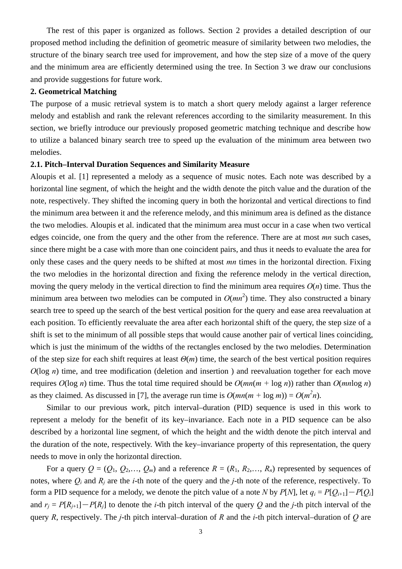The rest of this paper is organized as follows. Section 2 provides a detailed description of our proposed method including the definition of geometric measure of similarity between two melodies, the structure of the binary search tree used for improvement, and how the step size of a move of the query and the minimum area are efficiently determined using the tree. In Section 3 we draw our conclusions and provide suggestions for future work.

## **2. Geometrical Matching**

The purpose of a music retrieval system is to match a short query melody against a larger reference melody and establish and rank the relevant references according to the similarity measurement. In this section, we briefly introduce our previously proposed geometric matching technique and describe how to utilize a balanced binary search tree to speed up the evaluation of the minimum area between two melodies.

#### **2.1. Pitch–Interval Duration Sequences and Similarity Measure**

Aloupis et al. [1] represented a melody as a sequence of music notes. Each note was described by a horizontal line segment, of which the height and the width denote the pitch value and the duration of the note, respectively. They shifted the incoming query in both the horizontal and vertical directions to find the minimum area between it and the reference melody, and this minimum area is defined as the distance the two melodies. Aloupis et al. indicated that the minimum area must occur in a case when two vertical edges coincide, one from the query and the other from the reference. There are at most *mn* such cases, since there might be a case with more than one coincident pairs, and thus it needs to evaluate the area for only these cases and the query needs to be shifted at most *mn* times in the horizontal direction. Fixing the two melodies in the horizontal direction and fixing the reference melody in the vertical direction, moving the query melody in the vertical direction to find the minimum area requires  $O(n)$  time. Thus the minimum area between two melodies can be computed in  $O(mn^2)$  time. They also constructed a binary search tree to speed up the search of the best vertical position for the query and ease area reevaluation at each position. To efficiently reevaluate the area after each horizontal shift of the query, the step size of a shift is set to the minimum of all possible steps that would cause another pair of vertical lines coinciding, which is just the minimum of the widths of the rectangles enclosed by the two melodies. Determination of the step size for each shift requires at least *Θ*(*m*) time, the search of the best vertical position requires *O*(log *n*) time, and tree modification (deletion and insertion) and reevaluation together for each move requires  $O(\log n)$  time. Thus the total time required should be  $O(mn(m + \log n))$  rather than  $O(mn\log n)$ as they claimed. As discussed in [7], the average run time is  $O(mn(m + \log m)) = O(m^2n)$ .

Similar to our previous work, pitch interval–duration (PID) sequence is used in this work to represent a melody for the benefit of its key–invariance. Each note in a PID sequence can be also described by a horizontal line segment, of which the height and the width denote the pitch interval and the duration of the note, respectively. With the key–invariance property of this representation, the query needs to move in only the horizontal direction.

For a query  $Q = (Q_1, Q_2,..., Q_m)$  and a reference  $R = (R_1, R_2,..., R_n)$  represented by sequences of notes, where  $Q_i$  and  $R_i$  are the *i*-th note of the query and the *j*-th note of the reference, respectively. To form a PID sequence for a melody, we denote the pitch value of a note *N* by *P*[*N*], let  $q_i = P[Q_{i+1}] - P[Q_i]$ and  $r_i = P[R_{i+1}] - P[R_i]$  to denote the *i*-th pitch interval of the query Q and the *j*-th pitch interval of the query *R*, respectively. The *j*-th pitch interval–duration of *R* and the *i*-th pitch interval–duration of *Q* are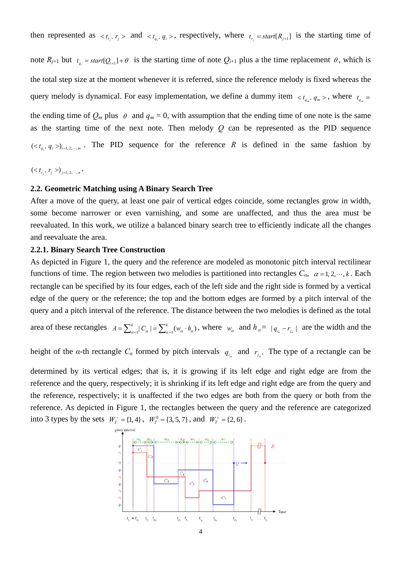then represented as  $$  and  $$ , respectively, where  $t_{r_j} = start[R_{j+1}]$  is the starting time of

note  $R_{j+1}$  but  $t_{q_i} = start[Q_{i+1}] + \theta$  is the starting time of note  $Q_{i+1}$  plus a the time replacement  $\theta$ , which is the total step size at the moment whenever it is referred, since the reference melody is fixed whereas the query melody is dynamical. For easy implementation, we define a dummy item  $\langle t_{q_m}, q_m \rangle$ , where  $t_{q_m}$ the ending time of  $Q_m$  plus  $\theta$  and  $q_m = 0$ , with assumption that the ending time of one note is the same as the starting time of the next note. Then melody *Q* can be represented as the PID sequence  $\left\langle \langle t_{q_i}, q_i \rangle \right\rangle_{i=1, 2, \cdots, m}$ . The PID sequence for the reference *R* is defined in the same fashion by

 $(*t*<sub>r<sub>j</sub></sub>, *r*<sub>j</sub>>)<sub>j=1, 2, \cdots, n</sub>$ .

## **2.2. Geometric Matching using A Binary Search Tree**

After a move of the query, at least one pair of vertical edges coincide, some rectangles grow in width, some become narrower or even varnishing, and some are unaffected, and thus the area must be reevaluated. In this work, we utilize a balanced binary search tree to efficiently indicate all the changes and reevaluate the area.

## **2.2.1. Binary Search Tree Construction**

As depicted in Figure 1, the query and the reference are modeled as monotonic pitch interval rectilinear functions of time. The region between two melodies is partitioned into rectangles  $C_\alpha$ ,  $\alpha = 1, 2, \dots, k$ . Each rectangle can be specified by its four edges, each of the left side and the right side is formed by a vertical edge of the query or the reference; the top and the bottom edges are formed by a pitch interval of the query and a pitch interval of the reference. The distance between the two melodies is defined as the total

area of these rectangles  $A = \sum_{\alpha=1}^{k} |C_{\alpha}| = \sum_{\alpha=1}^{k} (w_{\alpha} \cdot h_{\alpha})$ , where  $w_{\alpha}$  and  $h_{\alpha} = |q_{i_{\alpha}} - r_{j_{\alpha}}|$  are the width and the

height of the *α*-th rectangle  $C_\alpha$  formed by pitch intervals  $q_i$  and  $r_i$ . The type of a rectangle can be

determined by its vertical edges; that is, it is growing if its left edge and right edge are from the reference and the query, respectively; it is shrinking if its left edge and right edge are from the query and the reference, respectively; it is unaffected if the two edges are both from the query or both from the reference. As depicted in Figure 1, the rectangles between the query and the reference are categorized into 3 types by the sets  $W_T^- = \{1, 4\}$ ,  $W_T^0 = \{3, 5, 7\}$ , and  $W_T^+ = \{2, 6\}$ .

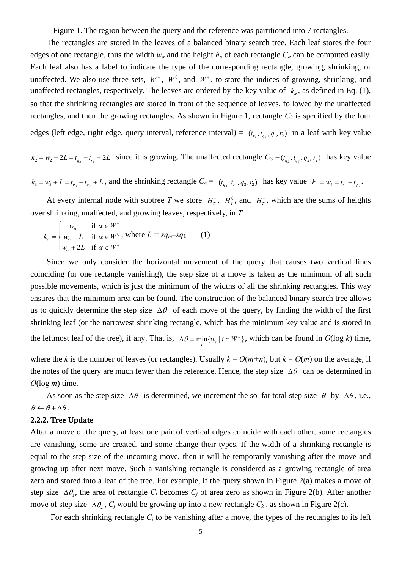Figure 1. The region between the query and the reference was partitioned into 7 rectangles.

The rectangles are stored in the leaves of a balanced binary search tree. Each leaf stores the four edges of one rectangle, thus the width  $w_\alpha$  and the height  $h_\alpha$  of each rectangle  $C_\alpha$  can be computed easily. Each leaf also has a label to indicate the type of the corresponding rectangle, growing, shrinking, or unaffected. We also use three sets,  $W^-$ ,  $W^0$ , and  $W^+$ , to store the indices of growing, shrinking, and unaffected rectangles, respectively. The leaves are ordered by the key value of  $k_a$ , as defined in Eq. (1), so that the shrinking rectangles are stored in front of the sequence of leaves, followed by the unaffected rectangles, and then the growing rectangles. As shown in Figure 1, rectangle  $C_2$  is specified by the four edges (left edge, right edge, query interval, reference interval) =  $(t_1, t_2, t_3, t_4, t_2)$  in a leaf with key value

 $k_2 = w_2 + 2L = t_{q_2} - t_{r_2} + 2L$  since it is growing. The unaffected rectangle  $C_3 = (t_{q_1}, t_{q_2}, t_{q_3}, t_{q_2}, t_{q_3})$  has key value

 $k_3 = w_3 + L = t_{q_3} - t_{q_2} + L$ , and the shrinking rectangle  $C_4 = (t_{q_3}, t_{r_3}, q_3, r_2)$  has key value  $k_4 = w_4 = t_{r_3} - t_{q_3}$ .

At every internal node with subtree *T* we store  $H_T^{\dagger}$ ,  $H_T^0$ , and  $H_T^{\dagger}$ , which are the sums of heights over shrinking, unaffected, and growing leaves, respectively, in *T*.

$$
k_{\alpha} = \begin{cases} w_{\alpha} & \text{if } \alpha \in W^{-} \\ w_{\alpha} + L & \text{if } \alpha \in W^{0} \text{, where } L = sq_{m} - sq_{1} \\ w_{\alpha} + 2L & \text{if } \alpha \in W^{+} \end{cases} \tag{1}
$$

Since we only consider the horizontal movement of the query that causes two vertical lines coinciding (or one rectangle vanishing), the step size of a move is taken as the minimum of all such possible movements, which is just the minimum of the widths of all the shrinking rectangles. This way ensures that the minimum area can be found. The construction of the balanced binary search tree allows us to quickly determine the step size  $\Delta\theta$  of each move of the query, by finding the width of the first shrinking leaf (or the narrowest shrinking rectangle, which has the minimum key value and is stored in

the leftmost leaf of the tree), if any. That is,  $\Delta \theta = \min_{i} \{ w_i \mid i \in W^- \}$ , which can be found in  $O(\log k)$  time,

where the *k* is the number of leaves (or rectangles). Usually  $k = O(m+n)$ , but  $k = O(m)$  on the average, if the notes of the query are much fewer than the reference. Hence, the step size  $\Delta\theta$  can be determined in *O*(log *m*) time.

As soon as the step size  $\Delta\theta$  is determined, we increment the so–far total step size  $\theta$  by  $\Delta\theta$ , i.e.,  $\theta \leftarrow \theta + \Delta \theta$ .

## **2.2.2. Tree Update**

After a move of the query, at least one pair of vertical edges coincide with each other, some rectangles are vanishing, some are created, and some change their types. If the width of a shrinking rectangle is equal to the step size of the incoming move, then it will be temporarily vanishing after the move and growing up after next move. Such a vanishing rectangle is considered as a growing rectangle of area zero and stored into a leaf of the tree. For example, if the query shown in Figure 2(a) makes a move of step size  $\Delta\theta_1$ , the area of rectangle  $C_i$  becomes  $C_i$  of area zero as shown in Figure 2(b). After another move of step size  $\Delta\theta_2$ , *C<sub>i</sub>* would be growing up into a new rectangle *C<sub>k</sub>*, as shown in Figure 2(c).

For each shrinking rectangle *Ci* to be vanishing after a move, the types of the rectangles to its left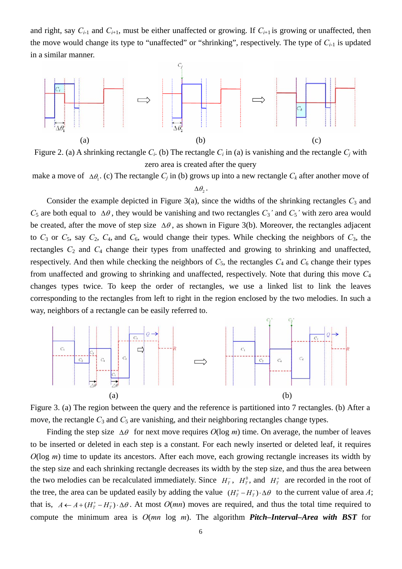and right, say  $C_{i-1}$  and  $C_{i+1}$ , must be either unaffected or growing. If  $C_{i+1}$  is growing or unaffected, then the move would change its type to "unaffected" or "shrinking", respectively. The type of  $C_{i-1}$  is updated in a similar manner.



Figure 2. (a) A shrinking rectangle  $C_i$ . (b) The rectangle  $C_i$  in (a) is vanishing and the rectangle  $C_i$  with zero area is created after the query

make a move of  $\Delta\theta$ <sub>1</sub>. (c) The rectangle  $C_i$  in (b) grows up into a new rectangle  $C_k$  after another move of

Consider the example depicted in Figure  $3(a)$ , since the widths of the shrinking rectangles  $C_3$  and *C*<sub>5</sub> are both equal to  $\Delta\theta$ , they would be vanishing and two rectangles  $C_3$ <sup>'</sup> and  $C_5$ <sup>'</sup> with zero area would be created, after the move of step size  $\Delta\theta$ , as shown in Figure 3(b). Moreover, the rectangles adjacent to  $C_3$  or  $C_5$ , say  $C_2$ ,  $C_4$ , and  $C_6$ , would change their types. While checking the neighbors of  $C_3$ , the rectangles  $C_2$  and  $C_4$  change their types from unaffected and growing to shrinking and unaffected, respectively. And then while checking the neighbors of  $C_5$ , the rectangles  $C_4$  and  $C_6$  change their types from unaffected and growing to shrinking and unaffected, respectively. Note that during this move *C*<sup>4</sup> changes types twice. To keep the order of rectangles, we use a linked list to link the leaves corresponding to the rectangles from left to right in the region enclosed by the two melodies. In such a way, neighbors of a rectangle can be easily referred to.



Figure 3. (a) The region between the query and the reference is partitioned into 7 rectangles. (b) After a move, the rectangle  $C_3$  and  $C_5$  are vanishing, and their neighboring rectangles change types.

Finding the step size  $\Delta\theta$  for next move requires  $O(\log m)$  time. On average, the number of leaves to be inserted or deleted in each step is a constant. For each newly inserted or deleted leaf, it requires *O*(log *m*) time to update its ancestors. After each move, each growing rectangle increases its width by the step size and each shrinking rectangle decreases its width by the step size, and thus the area between the two melodies can be recalculated immediately. Since  $H_T^{\dagger}$ ,  $H_T^0$ , and  $H_T^{\dagger}$  are recorded in the root of the tree, the area can be updated easily by adding the value  $(H_T^* - H_T^-) \cdot \Delta \theta$  to the current value of area *A*; that is,  $A \leftarrow A + (H_T^* - H_T^-) \cdot \Delta \theta$ . At most  $O(mn)$  moves are required, and thus the total time required to compute the minimum area is *O*(*mn* log *m*). The algorithm *Pitch–Interval–Area with BST* for

 $\Delta\theta$ <sub>2</sub>.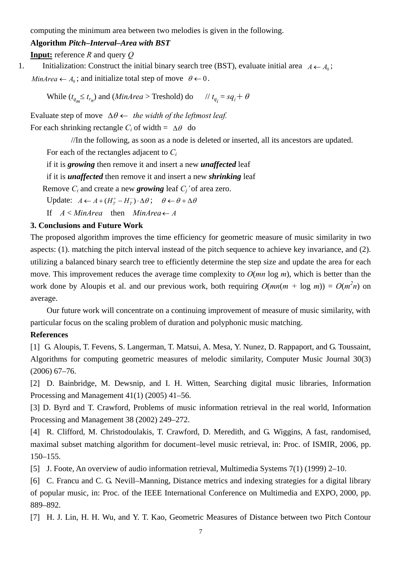computing the minimum area between two melodies is given in the following.

## **Algorithm** *Pitch–Interval–Area with BST*

**Input:** reference *R* and query *Q*

1. Initialization: Construct the initial binary search tree (BST), evaluate initial area  $A \leftarrow A_0$ ; *MinArea*  $\leftarrow A_0$ ; and initialize total step of move  $\theta \leftarrow 0$ .

While  $(t_{q_m} \leq t_{r_n})$  and  $(MinArea > Treshold)$  do  $// t_{q_i} = sq_i + \theta$ 

Evaluate step of move ∆θ ← *the width of the leftmost leaf.*

For each shrinking rectangle  $C_i$  of width =  $\Delta\theta$  do

//In the following, as soon as a node is deleted or inserted, all its ancestors are updated.

For each of the rectangles adjacent to *Ci*

if it is *growing* then remove it and insert a new *unaffected* leaf

if it is *unaffected* then remove it and insert a new *shrinking* leaf

Remove *Ci* and create a new *growing* leaf *Cj'* of area zero.

Update:  $A \leftarrow A + (H_T^* - H_T^-) \cdot \Delta \theta$ ;  $\theta \leftarrow \theta + \Delta \theta$ 

If  $A < M$ *inArea* then  $M$ *inArea*  $\leftarrow$  *A* 

## **3. Conclusions and Future Work**

The proposed algorithm improves the time efficiency for geometric measure of music similarity in two aspects: (1). matching the pitch interval instead of the pitch sequence to achieve key invariance, and (2). utilizing a balanced binary search tree to efficiently determine the step size and update the area for each move. This improvement reduces the average time complexity to *O*(*mn* log *m*), which is better than the work done by Aloupis et al. and our previous work, both requiring  $O(mn(m + \log m)) = O(m^2n)$  on average.

Our future work will concentrate on a continuing improvement of measure of music similarity, with particular focus on the scaling problem of duration and polyphonic music matching.

# **References**

[1] G. Aloupis, T. Fevens, S. Langerman, T. Matsui, A. Mesa, Y. Nunez, D. Rappaport, and G. Toussaint, Algorithms for computing geometric measures of melodic similarity, Computer Music Journal 30(3) (2006) 67–76.

[2] D. Bainbridge, M. Dewsnip, and I. H. Witten, Searching digital music libraries, Information Processing and Management 41(1) (2005) 41–56.

[3] D. Byrd and T. Crawford, Problems of music information retrieval in the real world, Information Processing and Management 38 (2002) 249–272.

[4] R. Clifford, M. Christodoulakis, T. Crawford, D. Meredith, and G. Wiggins, A fast, randomised, maximal subset matching algorithm for document–level music retrieval, in: Proc. of ISMIR, 2006, pp. 150–155.

[5] J. Foote, An overview of audio information retrieval, Multimedia Systems 7(1) (1999) 2–10.

[6] C. Francu and C. G. Nevill–Manning, Distance metrics and indexing strategies for a digital library of popular music, in: Proc. of the IEEE International Conference on Multimedia and EXPO, 2000, pp. 889–892.

[7] H. J. Lin, H. H. Wu, and Y. T. Kao, Geometric Measures of Distance between two Pitch Contour